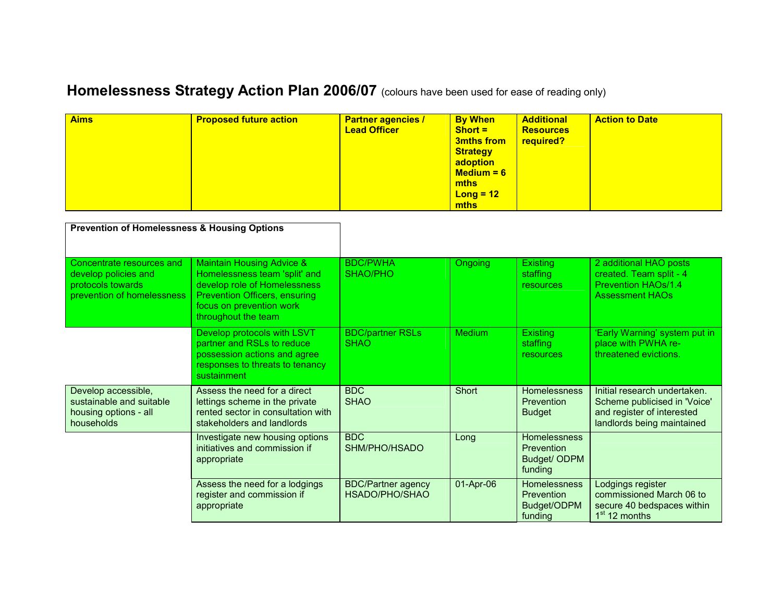## Homelessness Strategy Action Plan 2006/07 (colours have been used for ease of reading only)

| <b>Aims</b> | <b>Proposed future action</b> | <b>Partner agencies /</b><br><b>Lead Officer</b> | <b>By When</b><br>$Short =$<br><b>3mths from</b><br><b>Strategy</b><br>adoption<br>$Median = 6$<br><b>mths</b><br>$Long = 12$<br><b>mths</b> | <b>Additional</b><br><b>Resources</b><br>required? | <b>Action to Date</b> |
|-------------|-------------------------------|--------------------------------------------------|----------------------------------------------------------------------------------------------------------------------------------------------|----------------------------------------------------|-----------------------|
|-------------|-------------------------------|--------------------------------------------------|----------------------------------------------------------------------------------------------------------------------------------------------|----------------------------------------------------|-----------------------|

| <b>Prevention of Homelessness &amp; Housing Options</b>                                              |                                                                                                                                                                                                  |                                             |                |                                                             |                                                                                                                          |
|------------------------------------------------------------------------------------------------------|--------------------------------------------------------------------------------------------------------------------------------------------------------------------------------------------------|---------------------------------------------|----------------|-------------------------------------------------------------|--------------------------------------------------------------------------------------------------------------------------|
| Concentrate resources and<br>develop policies and<br>protocols towards<br>prevention of homelessness | <b>Maintain Housing Advice &amp;</b><br>Homelessness team 'split' and<br>develop role of Homelessness<br><b>Prevention Officers, ensuring</b><br>focus on prevention work<br>throughout the team | <b>BDC/PWHA</b><br>SHAO/PHO                 | <b>Ongoing</b> | <b>Existing</b><br>staffing<br><b>resources</b>             | 2 additional HAO posts<br>created. Team split - 4<br><b>Prevention HAOs/1.4</b><br><b>Assessment HAOs</b>                |
|                                                                                                      | Develop protocols with LSVT<br>partner and RSLs to reduce<br>possession actions and agree<br>responses to threats to tenancy<br>sustainment                                                      | <b>BDC/partner RSLs</b><br><b>SHAO</b>      | <b>Medium</b>  | <b>Existing</b><br>staffing<br>resources                    | 'Early Warning' system put in<br>place with PWHA re-<br>threatened evictions.                                            |
| Develop accessible,<br>sustainable and suitable<br>housing options - all<br>households               | Assess the need for a direct<br>lettings scheme in the private<br>rented sector in consultation with<br>stakeholders and landlords                                                               | <b>BDC</b><br><b>SHAO</b>                   | Short          | <b>Homelessness</b><br><b>Prevention</b><br><b>Budget</b>   | Initial research undertaken.<br>Scheme publicised in 'Voice'<br>and register of interested<br>landlords being maintained |
|                                                                                                      | Investigate new housing options<br>initiatives and commission if<br>appropriate                                                                                                                  | <b>BDC</b><br>SHM/PHO/HSADO                 | Long           | Homelessness<br>Prevention<br>Budget/ ODPM<br>funding       |                                                                                                                          |
|                                                                                                      | Assess the need for a lodgings<br>register and commission if<br>appropriate                                                                                                                      | <b>BDC/Partner agency</b><br>HSADO/PHO/SHAO | 01-Apr-06      | Homelessness<br><b>Prevention</b><br>Budget/ODPM<br>funding | Lodgings register<br>commissioned March 06 to<br>secure 40 bedspaces within<br>1 <sup>st</sup> 12 months                 |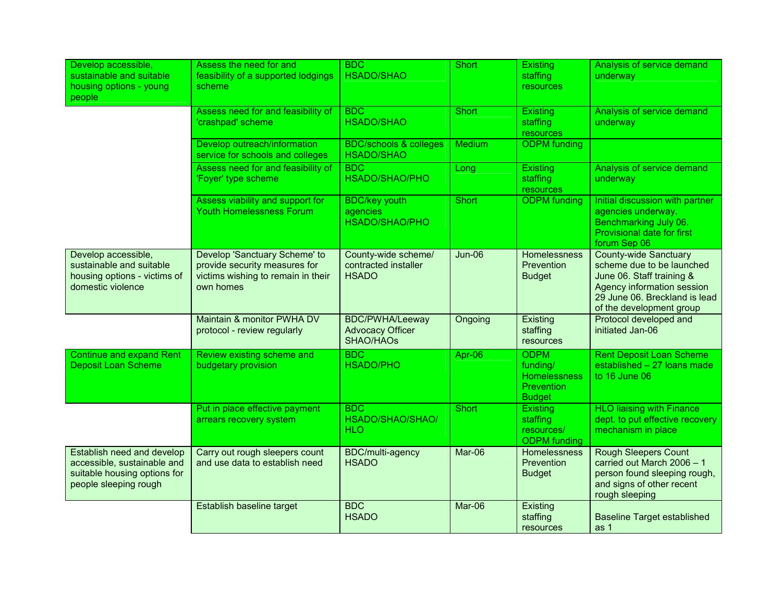| Develop accessible,<br>sustainable and suitable<br>housing options - young<br>people                               | Assess the need for and<br>feasibility of a supported lodgings<br>scheme                                          | <b>BDC</b><br><b>HSADO/SHAO</b>                                       | <b>Short</b>  | <b>Existing</b><br>staffing<br>resources                                             | Analysis of service demand<br>underway                                                                                                                                            |
|--------------------------------------------------------------------------------------------------------------------|-------------------------------------------------------------------------------------------------------------------|-----------------------------------------------------------------------|---------------|--------------------------------------------------------------------------------------|-----------------------------------------------------------------------------------------------------------------------------------------------------------------------------------|
|                                                                                                                    | Assess need for and feasibility of<br>'crashpad' scheme                                                           | <b>BDC</b><br><b>HSADO/SHAO</b>                                       | <b>Short</b>  | Existing<br>staffing<br>resources                                                    | Analysis of service demand<br>underway                                                                                                                                            |
|                                                                                                                    | Develop outreach/information<br>service for schools and colleges                                                  | <b>BDC/schools &amp; colleges</b><br><b>HSADO/SHAO</b>                | Medium        | <b>ODPM</b> funding                                                                  |                                                                                                                                                                                   |
|                                                                                                                    | Assess need for and feasibility of<br>'Foyer' type scheme                                                         | BDC<br>HSADO/SHAO/PHO                                                 | Long          | Existing<br>staffing<br>resources                                                    | Analysis of service demand<br>underway                                                                                                                                            |
|                                                                                                                    | Assess viability and support for<br><b>Youth Homelessness Forum</b>                                               | <b>BDC/key youth</b><br>agencies<br>HSADO/SHAO/PHO                    | Short         | <b>ODPM</b> funding                                                                  | Initial discussion with partner<br>agencies underway.<br>Benchmarking July 06.<br><b>Provisional date for first</b><br>forum Sep 06                                               |
| Develop accessible,<br>sustainable and suitable<br>housing options - victims of<br>domestic violence               | Develop 'Sanctuary Scheme' to<br>provide security measures for<br>victims wishing to remain in their<br>own homes | County-wide scheme/<br>contracted installer<br><b>HSADO</b>           | <b>Jun-06</b> | Homelessness<br><b>Prevention</b><br><b>Budget</b>                                   | <b>County-wide Sanctuary</b><br>scheme due to be launched<br>June 06. Staff training &<br>Agency information session<br>29 June 06. Breckland is lead<br>of the development group |
|                                                                                                                    | Maintain & monitor PWHA DV<br>protocol - review regularly                                                         | <b>BDC/PWHA/Leeway</b><br><b>Advocacy Officer</b><br><b>SHAO/HAOs</b> | Ongoing       | Existing<br>staffing<br>resources                                                    | Protocol developed and<br>initiated Jan-06                                                                                                                                        |
| Continue and expand Rent<br><b>Deposit Loan Scheme</b>                                                             | Review existing scheme and<br>budgetary provision                                                                 | BDC<br><b>HSADO/PHO</b>                                               | Apr-06        | <b>ODPM</b><br>funding/<br><b>Homelessness</b><br><b>Prevention</b><br><b>Budget</b> | <b>Rent Deposit Loan Scheme</b><br>established - 27 loans made<br>to 16 June 06                                                                                                   |
|                                                                                                                    | Put in place effective payment<br>arrears recovery system                                                         | BDC<br>HSADO/SHAO/SHAO/<br><b>HLO</b>                                 | Short         | <b>Existing</b><br>staffing<br>resources/<br><b>ODPM</b> funding                     | <b>HLO liaising with Finance</b><br>dept. to put effective recovery<br>mechanism in place                                                                                         |
| Establish need and develop<br>accessible, sustainable and<br>suitable housing options for<br>people sleeping rough | Carry out rough sleepers count<br>and use data to establish need                                                  | BDC/multi-agency<br><b>HSADO</b>                                      | Mar-06        | Homelessness<br>Prevention<br><b>Budget</b>                                          | <b>Rough Sleepers Count</b><br>carried out March 2006 - 1<br>person found sleeping rough,<br>and signs of other recent<br>rough sleeping                                          |
|                                                                                                                    | Establish baseline target                                                                                         | <b>BDC</b><br><b>HSADO</b>                                            | Mar-06        | Existing<br>staffing<br>resources                                                    | <b>Baseline Target established</b><br>as 1                                                                                                                                        |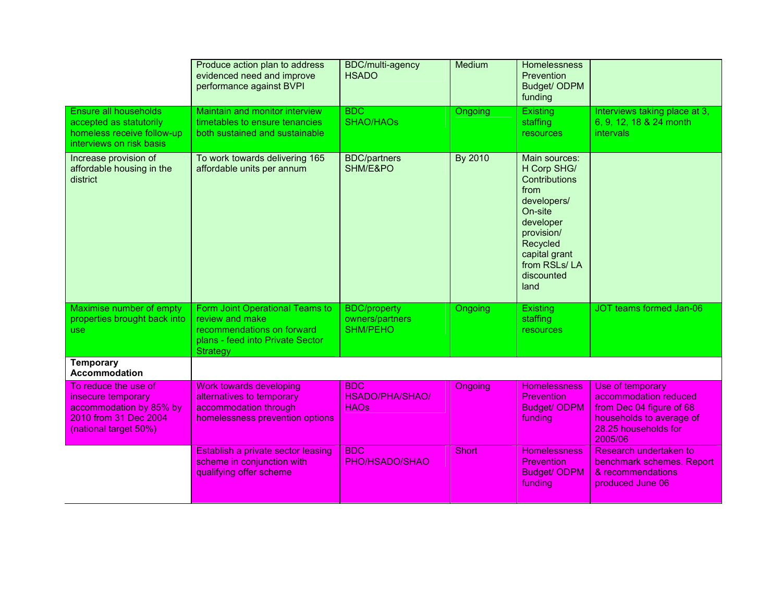|                                                                                                                         | Produce action plan to address<br>evidenced need and improve<br>performance against BVPI                                         | BDC/multi-agency<br><b>HSADO</b>                          | <b>Medium</b>  | <b>Homelessness</b><br>Prevention<br>Budget/ ODPM<br>funding                                                                                                                         |                                                                                                                                      |
|-------------------------------------------------------------------------------------------------------------------------|----------------------------------------------------------------------------------------------------------------------------------|-----------------------------------------------------------|----------------|--------------------------------------------------------------------------------------------------------------------------------------------------------------------------------------|--------------------------------------------------------------------------------------------------------------------------------------|
| Ensure all households<br>accepted as statutorily<br>homeless receive follow-up<br>interviews on risk basis              | Maintain and monitor interview<br>timetables to ensure tenancies<br>both sustained and sustainable                               | BDC<br><b>SHAO/HAOs</b>                                   | Ongoing        | <b>Existing</b><br>staffing<br><b>resources</b>                                                                                                                                      | Interviews taking place at 3,<br>6, 9, 12, 18 & 24 month<br>intervals                                                                |
| Increase provision of<br>affordable housing in the<br>district                                                          | To work towards delivering 165<br>affordable units per annum                                                                     | <b>BDC/partners</b><br>SHM/E&PO                           | By 2010        | Main sources:<br>H Corp SHG/<br><b>Contributions</b><br>from<br>developers/<br>On-site<br>developer<br>provision/<br>Recycled<br>capital grant<br>from RSLs/LA<br>discounted<br>land |                                                                                                                                      |
| Maximise number of empty<br>properties brought back into<br>use                                                         | Form Joint Operational Teams to<br>review and make<br>recommendations on forward<br>plans - feed into Private Sector<br>Strategy | <b>BDC/property</b><br>owners/partners<br><b>SHM/PEHO</b> | Ongoing        | <b>Existing</b><br>staffing<br>resources                                                                                                                                             | JOT teams formed Jan-06                                                                                                              |
| <b>Temporary</b><br><b>Accommodation</b>                                                                                |                                                                                                                                  |                                                           |                |                                                                                                                                                                                      |                                                                                                                                      |
| To reduce the use of<br>insecure temporary<br>accommodation by 85% by<br>2010 from 31 Dec 2004<br>(national target 50%) | <b>Work towards developing</b><br>alternatives to temporary<br>accommodation through<br>homelessness prevention options          | <b>BDC</b><br><b>HSADO/PHA/SHAO/</b><br><b>HAOs</b>       | <b>Ongoing</b> | <b>Homelessness</b><br><b>Prevention</b><br><b>Budget/ODPM</b><br>funding                                                                                                            | Use of temporary<br>accommodation reduced<br>from Dec 04 figure of 68<br>households to average of<br>28.25 households for<br>2005/06 |
|                                                                                                                         | Establish a private sector leasing<br>scheme in conjunction with<br>qualifying offer scheme                                      | <b>BDC</b><br>PHO/HSADO/SHAO                              | <b>Short</b>   | <b>Homelessness</b><br>Prevention<br><b>Budget/ ODPM</b><br>funding                                                                                                                  | Research undertaken to<br>benchmark schemes. Report<br>& recommendations<br>produced June 06                                         |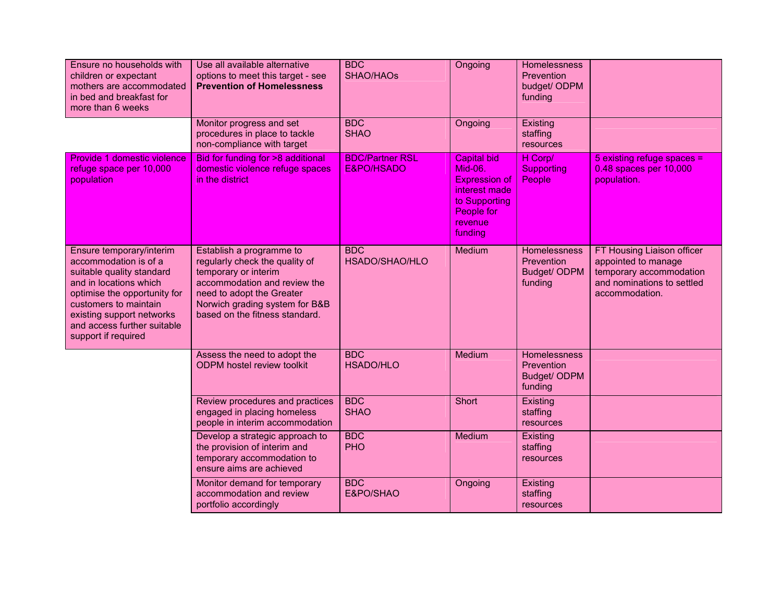| Ensure no households with<br>children or expectant<br>mothers are accommodated<br>in bed and breakfast for<br>more than 6 weeks                                                                                                                      | Use all available alternative<br>options to meet this target - see<br><b>Prevention of Homelessness</b>                                                                                                             | <b>BDC</b><br><b>SHAO/HAOs</b>       | Ongoing                                                                                                                            | <b>Homelessness</b><br>Prevention<br>budget/ ODPM<br>funding        |                                                                                                                              |
|------------------------------------------------------------------------------------------------------------------------------------------------------------------------------------------------------------------------------------------------------|---------------------------------------------------------------------------------------------------------------------------------------------------------------------------------------------------------------------|--------------------------------------|------------------------------------------------------------------------------------------------------------------------------------|---------------------------------------------------------------------|------------------------------------------------------------------------------------------------------------------------------|
|                                                                                                                                                                                                                                                      | Monitor progress and set<br>procedures in place to tackle<br>non-compliance with target                                                                                                                             | <b>BDC</b><br><b>SHAO</b>            | Ongoing                                                                                                                            | Existing<br>staffing<br>resources                                   |                                                                                                                              |
| Provide 1 domestic violence<br>refuge space per 10,000<br>population                                                                                                                                                                                 | Bid for funding for >8 additional<br>domestic violence refuge spaces<br>in the district                                                                                                                             | <b>BDC/Partner RSL</b><br>E&PO/HSADO | <b>Capital bid</b><br><b>Mid-06.</b><br><b>Expression of</b><br>interest made<br>to Supporting<br>People for<br>revenue<br>funding | H Corp/<br><b>Supporting</b><br>People                              | 5 existing refuge spaces =<br>0.48 spaces per 10,000<br>population.                                                          |
| Ensure temporary/interim<br>accommodation is of a<br>suitable quality standard<br>and in locations which<br>optimise the opportunity for<br>customers to maintain<br>existing support networks<br>and access further suitable<br>support if required | Establish a programme to<br>regularly check the quality of<br>temporary or interim<br>accommodation and review the<br>need to adopt the Greater<br>Norwich grading system for B&B<br>based on the fitness standard. | <b>BDC</b><br>HSADO/SHAO/HLO         | Medium                                                                                                                             | Homelessness<br>Prevention<br>Budget/ ODPM<br>funding               | FT Housing Liaison officer<br>appointed to manage<br>temporary accommodation<br>and nominations to settled<br>accommodation. |
|                                                                                                                                                                                                                                                      | Assess the need to adopt the<br><b>ODPM</b> hostel review toolkit                                                                                                                                                   | <b>BDC</b><br><b>HSADO/HLO</b>       | Medium                                                                                                                             | <b>Homelessness</b><br>Prevention<br><b>Budget/ ODPM</b><br>funding |                                                                                                                              |
|                                                                                                                                                                                                                                                      | Review procedures and practices<br>engaged in placing homeless<br>people in interim accommodation                                                                                                                   | <b>BDC</b><br><b>SHAO</b>            | Short                                                                                                                              | Existing<br>staffing<br>resources                                   |                                                                                                                              |
|                                                                                                                                                                                                                                                      | Develop a strategic approach to<br>the provision of interim and<br>temporary accommodation to<br>ensure aims are achieved                                                                                           | <b>BDC</b><br><b>PHO</b>             | Medium                                                                                                                             | Existing<br>staffing<br>resources                                   |                                                                                                                              |
|                                                                                                                                                                                                                                                      | Monitor demand for temporary<br>accommodation and review<br>portfolio accordingly                                                                                                                                   | <b>BDC</b><br>E&PO/SHAO              | Ongoing                                                                                                                            | Existing<br>staffing<br>resources                                   |                                                                                                                              |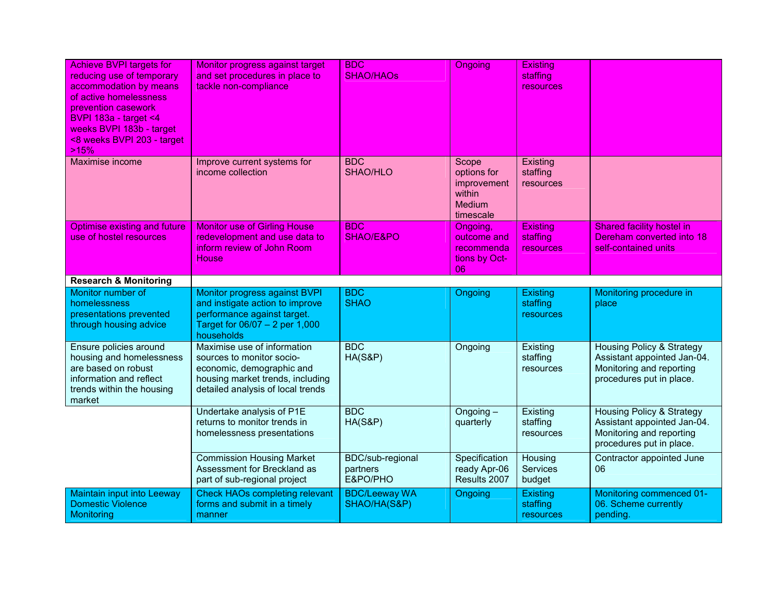| <b>Achieve BVPI targets for</b><br>reducing use of temporary<br>accommodation by means<br>of active homelessness<br>prevention casework<br><b>BVPI</b> 183a - target <4<br>weeks BVPI 183b - target<br><8 weeks BVPI 203 - target<br>>15% | Monitor progress against target<br>and set procedures in place to<br>tackle non-compliance                                                                     | <b>BDC</b><br><b>SHAO/HAOs</b>           | <b>Ongoing</b>                                                              | <b>Existing</b><br>staffing<br>resources |                                                                                                                             |
|-------------------------------------------------------------------------------------------------------------------------------------------------------------------------------------------------------------------------------------------|----------------------------------------------------------------------------------------------------------------------------------------------------------------|------------------------------------------|-----------------------------------------------------------------------------|------------------------------------------|-----------------------------------------------------------------------------------------------------------------------------|
| Maximise income                                                                                                                                                                                                                           | Improve current systems for<br>income collection                                                                                                               | <b>BDC</b><br>SHAO/HLO                   | Scope<br>options for<br>improvement<br>within<br><b>Medium</b><br>timescale | Existing<br>staffing<br>resources        |                                                                                                                             |
| Optimise existing and future<br>use of hostel resources                                                                                                                                                                                   | <b>Monitor use of Girling House</b><br>redevelopment and use data to<br>inform review of John Room<br><b>House</b>                                             | <b>BDC</b><br>SHAO/E&PO                  | Ongoing,<br>outcome and<br>recommenda<br>tions by Oct-<br>06                | <b>Existing</b><br>staffing<br>resources | Shared facility hostel in<br>Dereham converted into 18<br>self-contained units                                              |
| <b>Research &amp; Monitoring</b>                                                                                                                                                                                                          |                                                                                                                                                                |                                          |                                                                             |                                          |                                                                                                                             |
| Monitor number of<br>homelessness<br>presentations prevented<br>through housing advice                                                                                                                                                    | Monitor progress against BVPI<br>and instigate action to improve<br>performance against target.<br>Target for 06/07 - 2 per 1,000<br>households                | <b>BDC</b><br><b>SHAO</b>                | Ongoing                                                                     | Existing<br>staffing<br>resources        | Monitoring procedure in<br>place                                                                                            |
| Ensure policies around<br>housing and homelessness<br>are based on robust<br>information and reflect<br>trends within the housing<br>market                                                                                               | Maximise use of information<br>sources to monitor socio-<br>economic, demographic and<br>housing market trends, including<br>detailed analysis of local trends | BDC<br>HA(S&P)                           | Ongoing                                                                     | Existing<br>staffing<br>resources        | <b>Housing Policy &amp; Strategy</b><br>Assistant appointed Jan-04.<br>Monitoring and reporting<br>procedures put in place. |
|                                                                                                                                                                                                                                           | Undertake analysis of P1E<br>returns to monitor trends in<br>homelessness presentations                                                                        | <b>BDC</b><br><b>HA(S&amp;P)</b>         | Ongoing -<br>quarterly                                                      | Existing<br>staffing<br>resources        | <b>Housing Policy &amp; Strategy</b><br>Assistant appointed Jan-04.<br>Monitoring and reporting<br>procedures put in place. |
|                                                                                                                                                                                                                                           | <b>Commission Housing Market</b><br>Assessment for Breckland as<br>part of sub-regional project                                                                | BDC/sub-regional<br>partners<br>E&PO/PHO | Specification<br>ready Apr-06<br>Results 2007                               | Housing<br><b>Services</b><br>budget     | Contractor appointed June<br>06                                                                                             |
| <b>Maintain input into Leeway</b><br><b>Domestic Violence</b><br>Monitoring                                                                                                                                                               | <b>Check HAOs completing relevant</b><br>forms and submit in a timely<br>manner                                                                                | <b>BDC/Leeway WA</b><br>SHAO/HA(S&P)     | Ongoing                                                                     | Existing<br>staffing<br>resources        | Monitoring commenced 01-<br>06. Scheme currently<br>pending.                                                                |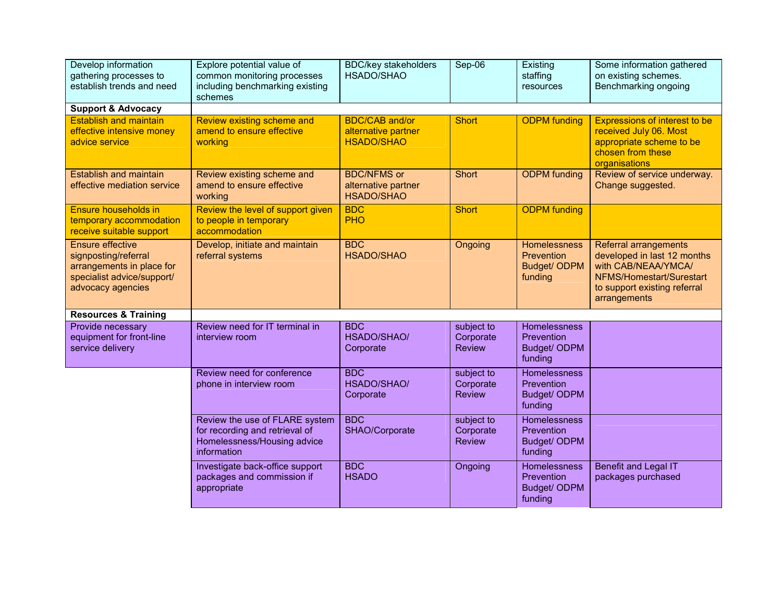| Develop information<br>gathering processes to<br>establish trends and need                                                      | Explore potential value of<br>common monitoring processes<br>including benchmarking existing<br>schemes        | <b>BDC/key stakeholders</b><br>HSADO/SHAO                         | Sep-06                                   | Existing<br>staffing<br>resources                            | Some information gathered<br>on existing schemes.<br>Benchmarking ongoing                                                                                      |
|---------------------------------------------------------------------------------------------------------------------------------|----------------------------------------------------------------------------------------------------------------|-------------------------------------------------------------------|------------------------------------------|--------------------------------------------------------------|----------------------------------------------------------------------------------------------------------------------------------------------------------------|
| <b>Support &amp; Advocacy</b>                                                                                                   |                                                                                                                |                                                                   |                                          |                                                              |                                                                                                                                                                |
| <b>Establish and maintain</b><br>effective intensive money<br>advice service                                                    | Review existing scheme and<br>amend to ensure effective<br>working                                             | <b>BDC/CAB and/or</b><br>alternative partner<br><b>HSADO/SHAO</b> | <b>Short</b>                             | <b>ODPM</b> funding                                          | <b>Expressions of interest to be</b><br>received July 06. Most<br>appropriate scheme to be<br>chosen from these<br>organisations                               |
| <b>Establish and maintain</b><br>effective mediation service                                                                    | Review existing scheme and<br>amend to ensure effective<br>working                                             | <b>BDC/NFMS or</b><br>alternative partner<br><b>HSADO/SHAO</b>    | <b>Short</b>                             | <b>ODPM</b> funding                                          | Review of service underway.<br>Change suggested.                                                                                                               |
| Ensure households in<br>temporary accommodation<br>receive suitable support                                                     | Review the level of support given<br>to people in temporary<br>accommodation                                   | <b>BDC</b><br><b>PHO</b>                                          | <b>Short</b>                             | <b>ODPM</b> funding                                          |                                                                                                                                                                |
| <b>Ensure effective</b><br>signposting/referral<br>arrangements in place for<br>specialist advice/support/<br>advocacy agencies | Develop, initiate and maintain<br>referral systems                                                             | <b>BDC</b><br><b>HSADO/SHAO</b>                                   | Ongoing                                  | Homelessness<br>Prevention<br>Budget/ ODPM<br>funding        | <b>Referral arrangements</b><br>developed in last 12 months<br>with CAB/NEAA/YMCA/<br>NFMS/Homestart/Surestart<br>to support existing referral<br>arrangements |
| <b>Resources &amp; Training</b>                                                                                                 |                                                                                                                |                                                                   |                                          |                                                              |                                                                                                                                                                |
| Provide necessary<br>equipment for front-line<br>service delivery                                                               | Review need for IT terminal in<br>interview room                                                               | <b>BDC</b><br>HSADO/SHAO/<br>Corporate                            | subject to<br>Corporate<br><b>Review</b> | Homelessness<br>Prevention<br>Budget/ ODPM<br>funding        |                                                                                                                                                                |
|                                                                                                                                 | Review need for conference<br>phone in interview room                                                          | <b>BDC</b><br>HSADO/SHAO/<br>Corporate                            | subject to<br>Corporate<br><b>Review</b> | <b>Homelessness</b><br>Prevention<br>Budget/ ODPM<br>funding |                                                                                                                                                                |
|                                                                                                                                 | Review the use of FLARE system<br>for recording and retrieval of<br>Homelessness/Housing advice<br>information | <b>BDC</b><br>SHAO/Corporate                                      | subject to<br>Corporate<br><b>Review</b> | Homelessness<br>Prevention<br>Budget/ ODPM<br>funding        |                                                                                                                                                                |
|                                                                                                                                 | Investigate back-office support<br>packages and commission if<br>appropriate                                   | <b>BDC</b><br><b>HSADO</b>                                        | Ongoing                                  | Homelessness<br>Prevention<br>Budget/ ODPM<br>funding        | <b>Benefit and Legal IT</b><br>packages purchased                                                                                                              |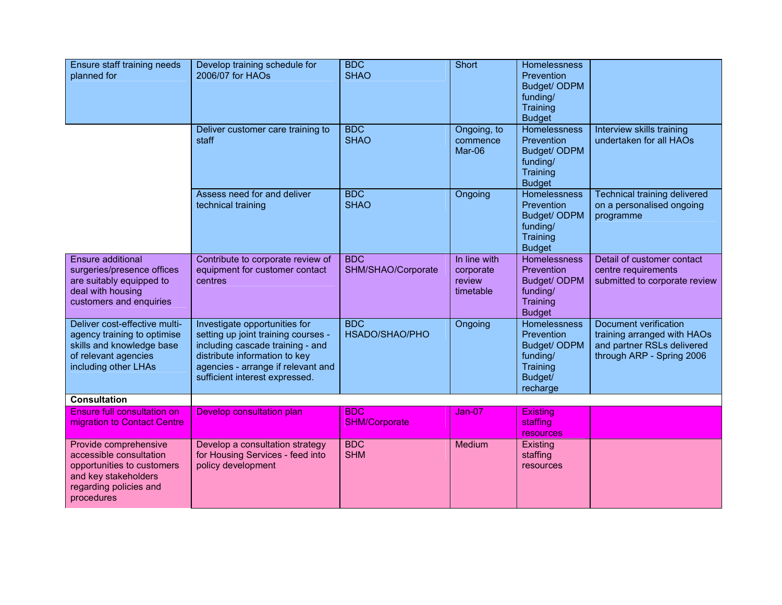| Ensure staff training needs<br>planned for                                                                                                     | Develop training schedule for<br>2006/07 for HAOs                                                                                                                                                                 | <b>BDC</b><br><b>SHAO</b>          | Short                                            | Homelessness<br>Prevention<br>Budget/ ODPM<br>funding/<br>Training<br><b>Budget</b>        |                                                                                                                 |
|------------------------------------------------------------------------------------------------------------------------------------------------|-------------------------------------------------------------------------------------------------------------------------------------------------------------------------------------------------------------------|------------------------------------|--------------------------------------------------|--------------------------------------------------------------------------------------------|-----------------------------------------------------------------------------------------------------------------|
|                                                                                                                                                | Deliver customer care training to<br>staff                                                                                                                                                                        | <b>BDC</b><br><b>SHAO</b>          | Ongoing, to<br>commence<br>Mar-06                | Homelessness<br>Prevention<br>Budget/ ODPM<br>funding/<br>Training<br><b>Budget</b>        | Interview skills training<br>undertaken for all HAOs                                                            |
|                                                                                                                                                | Assess need for and deliver<br>technical training                                                                                                                                                                 | <b>BDC</b><br><b>SHAO</b>          | Ongoing                                          | <b>Homelessness</b><br>Prevention<br>Budget/ ODPM<br>funding/<br>Training<br><b>Budget</b> | <b>Technical training delivered</b><br>on a personalised ongoing<br>programme                                   |
| <b>Ensure additional</b><br>surgeries/presence offices<br>are suitably equipped to<br>deal with housing<br>customers and enquiries             | Contribute to corporate review of<br>equipment for customer contact<br>centres                                                                                                                                    | <b>BDC</b><br>SHM/SHAO/Corporate   | In line with<br>corporate<br>review<br>timetable | <b>Homelessness</b><br>Prevention<br>Budget/ ODPM<br>funding/<br>Training<br><b>Budget</b> | Detail of customer contact<br>centre requirements<br>submitted to corporate review                              |
| Deliver cost-effective multi-<br>agency training to optimise<br>skills and knowledge base<br>of relevant agencies<br>including other LHAs      | Investigate opportunities for<br>setting up joint training courses -<br>including cascade training - and<br>distribute information to key<br>agencies - arrange if relevant and<br>sufficient interest expressed. | <b>BDC</b><br>HSADO/SHAO/PHO       | Ongoing                                          | Homelessness<br>Prevention<br>Budget/ ODPM<br>funding/<br>Training<br>Budget/<br>recharge  | Document verification<br>training arranged with HAOs<br>and partner RSLs delivered<br>through ARP - Spring 2006 |
| <b>Consultation</b>                                                                                                                            |                                                                                                                                                                                                                   |                                    |                                                  |                                                                                            |                                                                                                                 |
| Ensure full consultation on<br>migration to Contact Centre                                                                                     | Develop consultation plan                                                                                                                                                                                         | <b>BDC</b><br><b>SHM/Corporate</b> | Jan-07                                           | Existing<br>staffing<br>resources                                                          |                                                                                                                 |
| Provide comprehensive<br>accessible consultation<br>opportunities to customers<br>and key stakeholders<br>regarding policies and<br>procedures | Develop a consultation strategy<br>for Housing Services - feed into<br>policy development                                                                                                                         | <b>BDC</b><br><b>SHM</b>           | Medium                                           | Existing<br>staffing<br>resources                                                          |                                                                                                                 |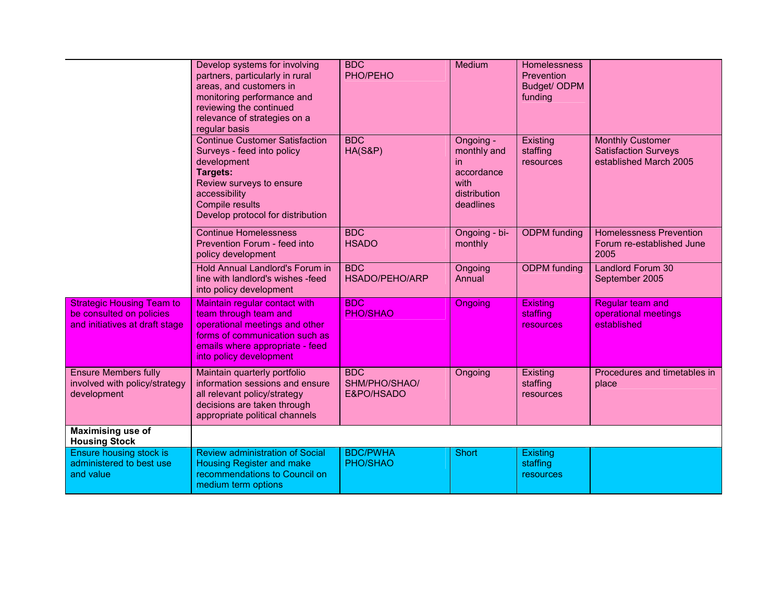|                                                                                                | Develop systems for involving<br>partners, particularly in rural<br>areas, and customers in<br>monitoring performance and<br>reviewing the continued<br>relevance of strategies on a<br>regular basis      | <b>BDC</b><br>PHO/PEHO                    | Medium                                                                             | <b>Homelessness</b><br>Prevention<br>Budget/ ODPM<br>funding |                                                                                  |
|------------------------------------------------------------------------------------------------|------------------------------------------------------------------------------------------------------------------------------------------------------------------------------------------------------------|-------------------------------------------|------------------------------------------------------------------------------------|--------------------------------------------------------------|----------------------------------------------------------------------------------|
|                                                                                                | <b>Continue Customer Satisfaction</b><br>Surveys - feed into policy<br>development<br><b>Targets:</b><br>Review surveys to ensure<br>accessibility<br>Compile results<br>Develop protocol for distribution | <b>BDC</b><br>$HA(S\&P)$                  | Ongoing -<br>monthly and<br>in.<br>accordance<br>with<br>distribution<br>deadlines | Existing<br>staffing<br>resources                            | <b>Monthly Customer</b><br><b>Satisfaction Surveys</b><br>established March 2005 |
|                                                                                                | <b>Continue Homelessness</b><br>Prevention Forum - feed into<br>policy development                                                                                                                         | <b>BDC</b><br><b>HSADO</b>                | Ongoing - bi-<br>monthly                                                           | <b>ODPM</b> funding                                          | <b>Homelessness Prevention</b><br>Forum re-established June<br>2005              |
|                                                                                                | Hold Annual Landlord's Forum in<br>line with landlord's wishes -feed<br>into policy development                                                                                                            | <b>BDC</b><br>HSADO/PEHO/ARP              | Ongoing<br>Annual                                                                  | <b>ODPM</b> funding                                          | <b>Landlord Forum 30</b><br>September 2005                                       |
| <b>Strategic Housing Team to</b><br>be consulted on policies<br>and initiatives at draft stage | Maintain regular contact with<br>team through team and<br>operational meetings and other<br>forms of communication such as<br>emails where appropriate - feed<br>into policy development                   | <b>BDC</b><br>PHO/SHAO                    | Ongoing                                                                            | <b>Existing</b><br>staffing<br><b>resources</b>              | Regular team and<br>operational meetings<br>established                          |
| <b>Ensure Members fully</b><br>involved with policy/strategy<br>development                    | Maintain quarterly portfolio<br>information sessions and ensure<br>all relevant policy/strategy<br>decisions are taken through<br>appropriate political channels                                           | <b>BDC</b><br>SHM/PHO/SHAO/<br>E&PO/HSADO | Ongoing                                                                            | Existing<br>staffing<br>resources                            | Procedures and timetables in<br>place                                            |
| <b>Maximising use of</b><br><b>Housing Stock</b>                                               |                                                                                                                                                                                                            |                                           |                                                                                    |                                                              |                                                                                  |
| <b>Ensure housing stock is</b><br>administered to best use<br>and value                        | <b>Review administration of Social</b><br><b>Housing Register and make</b><br>recommendations to Council on<br>medium term options                                                                         | <b>BDC/PWHA</b><br>PHO/SHAO               | <b>Short</b>                                                                       | Existing<br>staffing<br>resources                            |                                                                                  |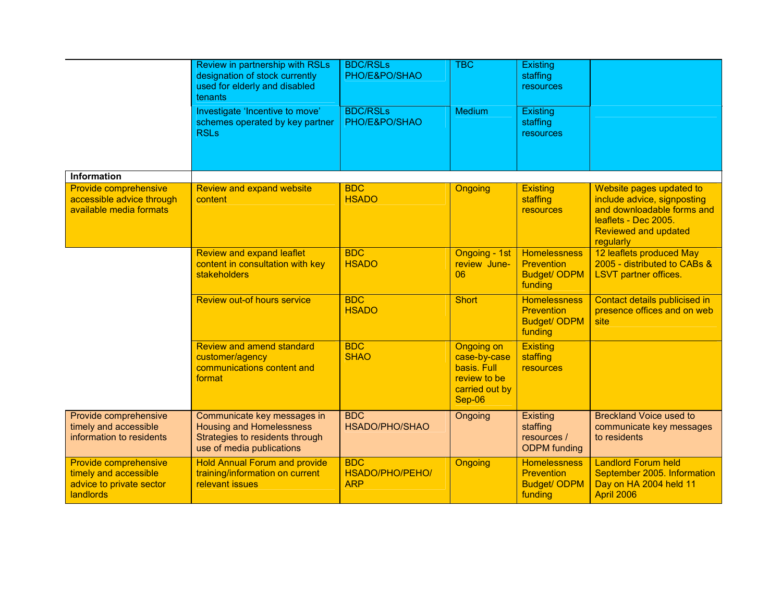|                                                                                         | Review in partnership with RSLs<br>designation of stock currently<br>used for elderly and disabled<br>tenants                  | <b>BDC/RSLs</b><br>PHO/E&PO/SHAO            | <b>TBC</b>                                                                            | Existing<br>staffing<br>resources                                          |                                                                                                                                                           |
|-----------------------------------------------------------------------------------------|--------------------------------------------------------------------------------------------------------------------------------|---------------------------------------------|---------------------------------------------------------------------------------------|----------------------------------------------------------------------------|-----------------------------------------------------------------------------------------------------------------------------------------------------------|
|                                                                                         | Investigate 'Incentive to move'<br>schemes operated by key partner<br><b>RSLs</b>                                              | <b>BDC/RSLs</b><br>PHO/E&PO/SHAO            | Medium                                                                                | Existing<br>staffing<br>resources                                          |                                                                                                                                                           |
| <b>Information</b>                                                                      |                                                                                                                                |                                             |                                                                                       |                                                                            |                                                                                                                                                           |
| Provide comprehensive<br>accessible advice through<br>available media formats           | Review and expand website<br>content                                                                                           | <b>BDC</b><br><b>HSADO</b>                  | <b>Ongoing</b>                                                                        | <b>Existing</b><br>staffing<br><b>resources</b>                            | Website pages updated to<br>include advice, signposting<br>and downloadable forms and<br>leaflets - Dec 2005.<br><b>Reviewed and updated</b><br>regularly |
|                                                                                         | <b>Review and expand leaflet</b><br>content in consultation with key<br>stakeholders                                           | <b>BDC</b><br><b>HSADO</b>                  | Ongoing - 1st<br>review June-<br>06                                                   | <b>Homelessness</b><br><b>Prevention</b><br><b>Budget/ ODPM</b><br>funding | 12 leaflets produced May<br>2005 - distributed to CABs &<br><b>LSVT</b> partner offices.                                                                  |
|                                                                                         | Review out-of hours service                                                                                                    | <b>BDC</b><br><b>HSADO</b>                  | <b>Short</b>                                                                          | <b>Homelessness</b><br><b>Prevention</b><br><b>Budget/ ODPM</b><br>funding | Contact details publicised in<br>presence offices and on web<br>site                                                                                      |
|                                                                                         | Review and amend standard<br>customer/agency<br>communications content and<br>format                                           | <b>BDC</b><br><b>SHAO</b>                   | Ongoing on<br>case-by-case<br>basis. Full<br>review to be<br>carried out by<br>Sep-06 | <b>Existing</b><br>staffing<br><b>resources</b>                            |                                                                                                                                                           |
| Provide comprehensive<br>timely and accessible<br>information to residents              | Communicate key messages in<br><b>Housing and Homelessness</b><br>Strategies to residents through<br>use of media publications | <b>BDC</b><br>HSADO/PHO/SHAO                | Ongoing                                                                               | Existing<br>staffing<br>resources /<br><b>ODPM</b> funding                 | <b>Breckland Voice used to</b><br>communicate key messages<br>to residents                                                                                |
| Provide comprehensive<br>timely and accessible<br>advice to private sector<br>landlords | <b>Hold Annual Forum and provide</b><br>training/information on current<br>relevant issues                                     | <b>BDC</b><br>HSADO/PHO/PEHO/<br><b>ARP</b> | Ongoing                                                                               | <b>Homelessness</b><br><b>Prevention</b><br><b>Budget/ ODPM</b><br>funding | <b>Landlord Forum held</b><br>September 2005. Information<br>Day on HA 2004 held 11<br>April 2006                                                         |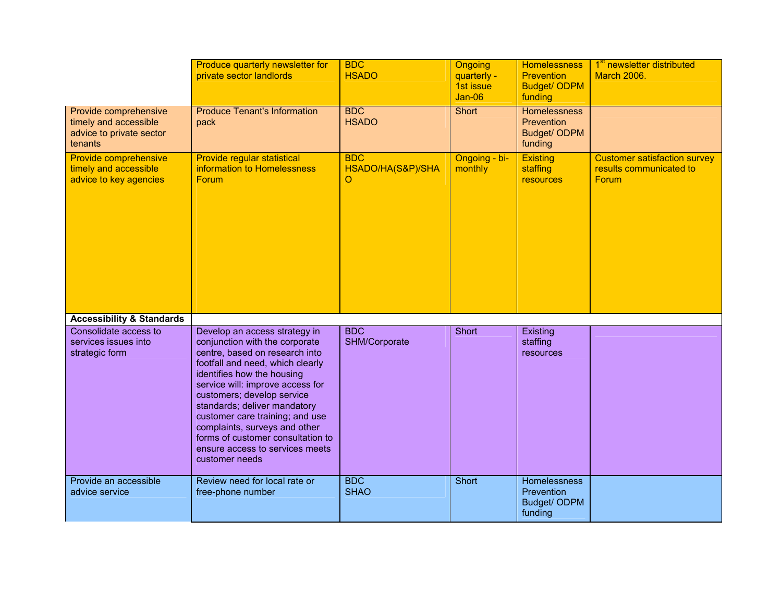|                                                                                       | Produce quarterly newsletter for<br>private sector landlords                                                                                                                                                                                                                                                                                                                                                                        | <b>BDC</b><br><b>HSADO</b>           | Ongoing<br>quarterly -<br>1st issue<br><b>Jan-06</b> | <b>Homelessness</b><br><b>Prevention</b><br><b>Budget/ ODPM</b><br>funding | 1 <sup>st</sup> newsletter distributed<br><b>March 2006.</b>            |
|---------------------------------------------------------------------------------------|-------------------------------------------------------------------------------------------------------------------------------------------------------------------------------------------------------------------------------------------------------------------------------------------------------------------------------------------------------------------------------------------------------------------------------------|--------------------------------------|------------------------------------------------------|----------------------------------------------------------------------------|-------------------------------------------------------------------------|
| Provide comprehensive<br>timely and accessible<br>advice to private sector<br>tenants | <b>Produce Tenant's Information</b><br>pack                                                                                                                                                                                                                                                                                                                                                                                         | <b>BDC</b><br><b>HSADO</b>           | Short                                                | <b>Homelessness</b><br>Prevention<br>Budget/ ODPM<br>funding               |                                                                         |
| Provide comprehensive<br>timely and accessible<br>advice to key agencies              | Provide regular statistical<br>information to Homelessness<br>Forum                                                                                                                                                                                                                                                                                                                                                                 | <b>BDC</b><br>HSADO/HA(S&P)/SHA<br>O | Ongoing - bi-<br>monthly                             | <b>Existing</b><br>staffing<br><b>resources</b>                            | <b>Customer satisfaction survey</b><br>results communicated to<br>Forum |
| <b>Accessibility &amp; Standards</b>                                                  |                                                                                                                                                                                                                                                                                                                                                                                                                                     |                                      |                                                      |                                                                            |                                                                         |
| Consolidate access to<br>services issues into<br>strategic form                       | Develop an access strategy in<br>conjunction with the corporate<br>centre, based on research into<br>footfall and need, which clearly<br>identifies how the housing<br>service will: improve access for<br>customers; develop service<br>standards; deliver mandatory<br>customer care training; and use<br>complaints, surveys and other<br>forms of customer consultation to<br>ensure access to services meets<br>customer needs | <b>BDC</b><br>SHM/Corporate          | Short                                                | Existing<br>staffing<br>resources                                          |                                                                         |
| Provide an accessible<br>advice service                                               | Review need for local rate or<br>free-phone number                                                                                                                                                                                                                                                                                                                                                                                  | <b>BDC</b><br><b>SHAO</b>            | Short                                                | Homelessness<br>Prevention<br>Budget/ ODPM<br>funding                      |                                                                         |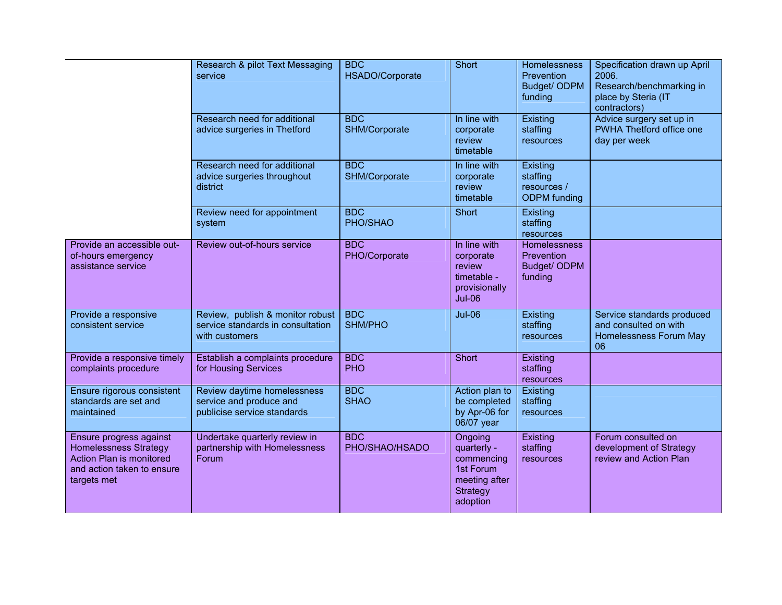|                                                                                                                                  | Research & pilot Text Messaging<br>service                                              | <b>BDC</b><br>HSADO/Corporate | Short                                                                                             | Homelessness<br>Prevention<br>Budget/ ODPM<br>funding        | Specification drawn up April<br>2006.<br>Research/benchmarking in<br>place by Steria (IT<br>contractors) |
|----------------------------------------------------------------------------------------------------------------------------------|-----------------------------------------------------------------------------------------|-------------------------------|---------------------------------------------------------------------------------------------------|--------------------------------------------------------------|----------------------------------------------------------------------------------------------------------|
|                                                                                                                                  | Research need for additional<br>advice surgeries in Thetford                            | <b>BDC</b><br>SHM/Corporate   | In line with<br>corporate<br>review<br>timetable                                                  | Existing<br>staffing<br>resources                            | Advice surgery set up in<br>PWHA Thetford office one<br>day per week                                     |
|                                                                                                                                  | Research need for additional<br>advice surgeries throughout<br>district                 | <b>BDC</b><br>SHM/Corporate   | In line with<br>corporate<br>review<br>timetable                                                  | Existing<br>staffing<br>resources /<br><b>ODPM</b> funding   |                                                                                                          |
|                                                                                                                                  | Review need for appointment<br>system                                                   | <b>BDC</b><br>PHO/SHAO        | Short                                                                                             | Existing<br>staffing<br>resources                            |                                                                                                          |
| Provide an accessible out-<br>of-hours emergency<br>assistance service                                                           | Review out-of-hours service                                                             | <b>BDC</b><br>PHO/Corporate   | In line with<br>corporate<br>review<br>timetable -<br>provisionally<br><b>Jul-06</b>              | <b>Homelessness</b><br>Prevention<br>Budget/ ODPM<br>funding |                                                                                                          |
| Provide a responsive<br>consistent service                                                                                       | Review, publish & monitor robust<br>service standards in consultation<br>with customers | <b>BDC</b><br><b>SHM/PHO</b>  | <b>Jul-06</b>                                                                                     | Existing<br>staffing<br>resources                            | Service standards produced<br>and consulted on with<br>Homelessness Forum May<br>06                      |
| Provide a responsive timely<br>complaints procedure                                                                              | Establish a complaints procedure<br>for Housing Services                                | <b>BDC</b><br><b>PHO</b>      | Short                                                                                             | Existing<br>staffing<br>resources                            |                                                                                                          |
| Ensure rigorous consistent<br>standards are set and<br>maintained                                                                | Review daytime homelessness<br>service and produce and<br>publicise service standards   | <b>BDC</b><br><b>SHAO</b>     | Action plan to<br>be completed<br>by Apr-06 for<br>06/07 year                                     | Existing<br>staffing<br>resources                            |                                                                                                          |
| Ensure progress against<br><b>Homelessness Strategy</b><br>Action Plan is monitored<br>and action taken to ensure<br>targets met | Undertake quarterly review in<br>partnership with Homelessness<br>Forum                 | <b>BDC</b><br>PHO/SHAO/HSADO  | Ongoing<br>quarterly -<br>commencing<br>1st Forum<br>meeting after<br><b>Strategy</b><br>adoption | Existing<br>staffing<br>resources                            | Forum consulted on<br>development of Strategy<br>review and Action Plan                                  |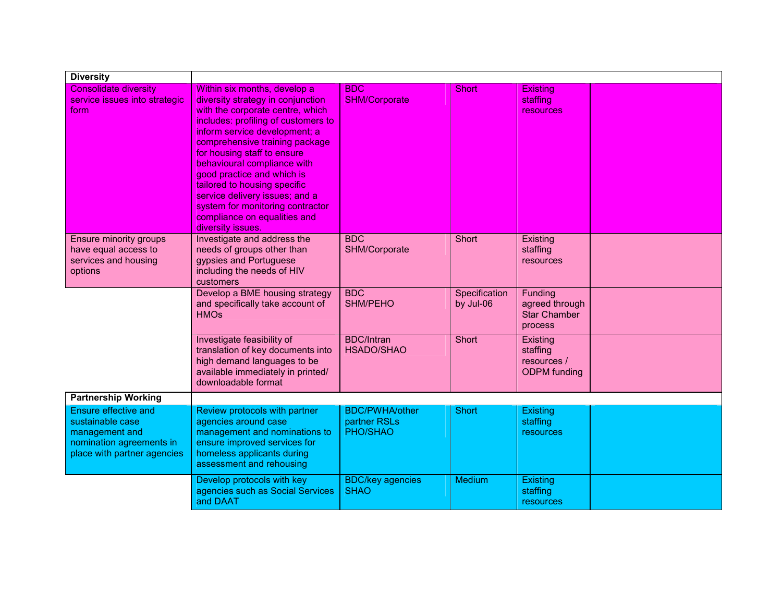| <b>Diversity</b>                                                                                                      |                                                                                                                                                                                                                                                                                                                                                                                                                                                                        |                                                   |                            |                                                             |  |
|-----------------------------------------------------------------------------------------------------------------------|------------------------------------------------------------------------------------------------------------------------------------------------------------------------------------------------------------------------------------------------------------------------------------------------------------------------------------------------------------------------------------------------------------------------------------------------------------------------|---------------------------------------------------|----------------------------|-------------------------------------------------------------|--|
| Consolidate diversity<br>service issues into strategic<br>form                                                        | Within six months, develop a<br>diversity strategy in conjunction<br>with the corporate centre, which<br>includes: profiling of customers to<br>inform service development; a<br>comprehensive training package<br>for housing staff to ensure<br>behavioural compliance with<br>good practice and which is<br>tailored to housing specific<br>service delivery issues; and a<br>system for monitoring contractor<br>compliance on equalities and<br>diversity issues. | <b>BDC</b><br><b>SHM/Corporate</b>                | <b>Short</b>               | Existing<br>staffing<br>resources                           |  |
| Ensure minority groups<br>have equal access to<br>services and housing<br>options                                     | Investigate and address the<br>needs of groups other than<br>gypsies and Portuguese<br>including the needs of HIV<br>customers                                                                                                                                                                                                                                                                                                                                         | <b>BDC</b><br>SHM/Corporate                       | Short                      | Existing<br>staffing<br>resources                           |  |
|                                                                                                                       | Develop a BME housing strategy<br>and specifically take account of<br><b>HMOs</b>                                                                                                                                                                                                                                                                                                                                                                                      | <b>BDC</b><br><b>SHM/PEHO</b>                     | Specification<br>by Jul-06 | Funding<br>agreed through<br><b>Star Chamber</b><br>process |  |
|                                                                                                                       | Investigate feasibility of<br>translation of key documents into<br>high demand languages to be<br>available immediately in printed/<br>downloadable format                                                                                                                                                                                                                                                                                                             | <b>BDC/Intran</b><br><b>HSADO/SHAO</b>            | Short                      | Existing<br>staffing<br>resources /<br><b>ODPM</b> funding  |  |
| <b>Partnership Working</b>                                                                                            |                                                                                                                                                                                                                                                                                                                                                                                                                                                                        |                                                   |                            |                                                             |  |
| Ensure effective and<br>sustainable case<br>management and<br>nomination agreements in<br>place with partner agencies | Review protocols with partner<br>agencies around case<br>management and nominations to<br>ensure improved services for<br>homeless applicants during<br>assessment and rehousing                                                                                                                                                                                                                                                                                       | <b>BDC/PWHA/other</b><br>partner RSLs<br>PHO/SHAO | Short                      | <b>Existing</b><br>staffing<br>resources                    |  |
|                                                                                                                       | Develop protocols with key<br>agencies such as Social Services<br>and DAAT                                                                                                                                                                                                                                                                                                                                                                                             | <b>BDC/key agencies</b><br><b>SHAO</b>            | <b>Medium</b>              | Existing<br>staffing<br>resources                           |  |